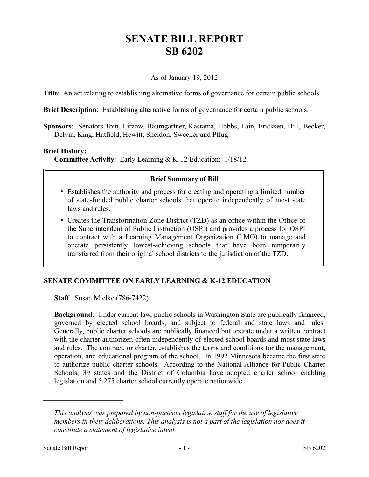# **SENATE BILL REPORT SB 6202**

## As of January 19, 2012

**Title**: An act relating to establishing alternative forms of governance for certain public schools.

**Brief Description**: Establishing alternative forms of governance for certain public schools.

**Sponsors**: Senators Tom, Litzow, Baumgartner, Kastama, Hobbs, Fain, Ericksen, Hill, Becker, Delvin, King, Hatfield, Hewitt, Sheldon, Swecker and Pflug.

#### **Brief History:**

**Committee Activity**: Early Learning & K-12 Education: 1/18/12.

#### **Brief Summary of Bill**

- Establishes the authority and process for creating and operating a limited number of state-funded public charter schools that operate independently of most state laws and rules.
- Creates the Transformation Zone District (TZD) as an office within the Office of the Superintendent of Public Instruction (OSPI) and provides a process for OSPI to contract with a Learning Management Organization (LMO) to manage and operate persistently lowest-achieving schools that have been temporarily transferred from their original school districts to the jurisdiction of the TZD.

## **SENATE COMMITTEE ON EARLY LEARNING & K-12 EDUCATION**

**Staff**: Susan Mielke (786-7422)

**Background**: Under current law, public schools in Washington State are publically financed, governed by elected school boards, and subject to federal and state laws and rules. Generally, public charter schools are publically financed but operate under a written contract with the charter authorizer, often independently of elected school boards and most state laws and rules. The contract, or charter, establishes the terms and conditions for the management, operation, and educational program of the school. In 1992 Minnesota became the first state to authorize public charter schools. According to the National Alliance for Public Charter Schools, 39 states and the District of Columbia have adopted charter school enabling legislation and 5,275 charter school currently operate nationwide.

––––––––––––––––––––––

*This analysis was prepared by non-partisan legislative staff for the use of legislative members in their deliberations. This analysis is not a part of the legislation nor does it constitute a statement of legislative intent.*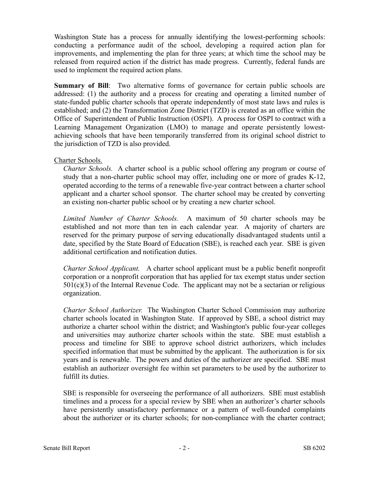Washington State has a process for annually identifying the lowest-performing schools: conducting a performance audit of the school, developing a required action plan for improvements, and implementing the plan for three years; at which time the school may be released from required action if the district has made progress. Currently, federal funds are used to implement the required action plans.

**Summary of Bill**: Two alternative forms of governance for certain public schools are addressed: (1) the authority and a process for creating and operating a limited number of state-funded public charter schools that operate independently of most state laws and rules is established; and (2) the Transformation Zone District (TZD) is created as an office within the Office of Superintendent of Public Instruction (OSPI). A process for OSPI to contract with a Learning Management Organization (LMO) to manage and operate persistently lowestachieving schools that have been temporarily transferred from its original school district to the jurisdiction of TZD is also provided.

## Charter Schools.

*Charter Schools.* A charter school is a public school offering any program or course of study that a non-charter public school may offer, including one or more of grades K-12, operated according to the terms of a renewable five-year contract between a charter school applicant and a charter school sponsor. The charter school may be created by converting an existing non-charter public school or by creating a new charter school.

*Limited Number of Charter Schools.* A maximum of 50 charter schools may be established and not more than ten in each calendar year. A majority of charters are reserved for the primary purpose of serving educationally disadvantaged students until a date, specified by the State Board of Education (SBE), is reached each year. SBE is given additional certification and notification duties.

*Charter School Applicant.* A charter school applicant must be a public benefit nonprofit corporation or a nonprofit corporation that has applied for tax exempt status under section  $501(c)(3)$  of the Internal Revenue Code. The applicant may not be a sectarian or religious organization.

*Charter School Authorizer.* The Washington Charter School Commission may authorize charter schools located in Washington State. If approved by SBE, a school district may authorize a charter school within the district; and Washington's public four-year colleges and universities may authorize charter schools within the state. SBE must establish a process and timeline for SBE to approve school district authorizers, which includes specified information that must be submitted by the applicant. The authorization is for six years and is renewable. The powers and duties of the authorizer are specified. SBE must establish an authorizer oversight fee within set parameters to be used by the authorizer to fulfill its duties.

SBE is responsible for overseeing the performance of all authorizers. SBE must establish timelines and a process for a special review by SBE when an authorizer's charter schools have persistently unsatisfactory performance or a pattern of well-founded complaints about the authorizer or its charter schools; for non-compliance with the charter contract;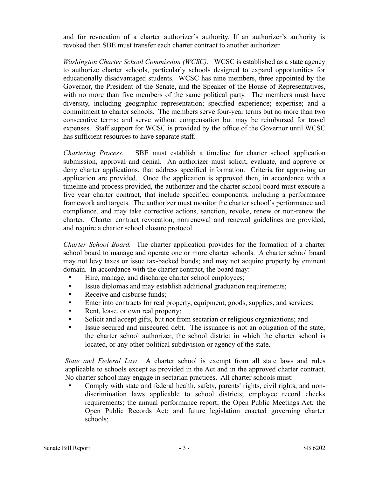and for revocation of a charter authorizer's authority. If an authorizer's authority is revoked then SBE must transfer each charter contract to another authorizer.

*Washington Charter School Commission (WCSC).* WCSC is established as a state agency to authorize charter schools, particularly schools designed to expand opportunities for educationally disadvantaged students. WCSC has nine members, three appointed by the Governor, the President of the Senate, and the Speaker of the House of Representatives, with no more than five members of the same political party. The members must have diversity, including geographic representation; specified experience; expertise; and a commitment to charter schools. The members serve four-year terms but no more than two consecutive terms; and serve without compensation but may be reimbursed for travel expenses. Staff support for WCSC is provided by the office of the Governor until WCSC has sufficient resources to have separate staff.

*Chartering Process.* SBE must establish a timeline for charter school application submission, approval and denial. An authorizer must solicit, evaluate, and approve or deny charter applications, that address specified information. Criteria for approving an application are provided. Once the application is approved then, in accordance with a timeline and process provided, the authorizer and the charter school board must execute a five year charter contract, that include specified components, including a performance framework and targets. The authorizer must monitor the charter school's performance and compliance, and may take corrective actions, sanction, revoke, renew or non-renew the charter. Charter contract revocation, nonrenewal and renewal guidelines are provided, and require a charter school closure protocol.

*Charter School Board.* The charter application provides for the formation of a charter school board to manage and operate one or more charter schools. A charter school board may not levy taxes or issue tax-backed bonds; and may not acquire property by eminent domain. In accordance with the charter contract, the board may:

- $\bullet$ Hire, manage, and discharge charter school employees;
- $\bullet$ Issue diplomas and may establish additional graduation requirements;
- $\bullet$ Receive and disburse funds;
- $\bullet$ Enter into contracts for real property, equipment, goods, supplies, and services;
- $\bullet$ Rent, lease, or own real property;
- $\bullet$ Solicit and accept gifts, but not from sectarian or religious organizations; and
- $\bullet$ Issue secured and unsecured debt. The issuance is not an obligation of the state, the charter school authorizer, the school district in which the charter school is located, or any other political subdivision or agency of the state.

*State and Federal Law.* A charter school is exempt from all state laws and rules applicable to schools except as provided in the Act and in the approved charter contract. No charter school may engage in sectarian practices. All charter schools must:

 Comply with state and federal health, safety, parents' rights, civil rights, and nondiscrimination laws applicable to school districts; employee record checks requirements; the annual performance report; the Open Public Meetings Act; the Open Public Records Act; and future legislation enacted governing charter schools;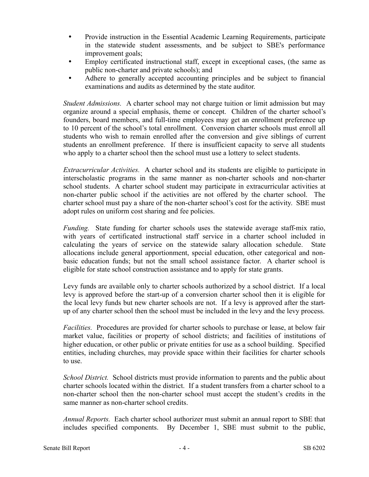- $\bullet$ Provide instruction in the Essential Academic Learning Requirements, participate in the statewide student assessments, and be subject to SBE's performance improvement goals;
- $\bullet$ Employ certificated instructional staff, except in exceptional cases, (the same as public non-charter and private schools); and
- $\bullet$ Adhere to generally accepted accounting principles and be subject to financial examinations and audits as determined by the state auditor.

*Student Admissions.* A charter school may not charge tuition or limit admission but may organize around a special emphasis, theme or concept. Children of the charter school's founders, board members, and full-time employees may get an enrollment preference up to 10 percent of the school's total enrollment. Conversion charter schools must enroll all students who wish to remain enrolled after the conversion and give siblings of current students an enrollment preference. If there is insufficient capacity to serve all students who apply to a charter school then the school must use a lottery to select students.

*Extracurricular Activities.* A charter school and its students are eligible to participate in interscholastic programs in the same manner as non-charter schools and non-charter school students. A charter school student may participate in extracurricular activities at non-charter public school if the activities are not offered by the charter school. The charter school must pay a share of the non-charter school's cost for the activity. SBE must adopt rules on uniform cost sharing and fee policies.

*Funding.* State funding for charter schools uses the statewide average staff-mix ratio, with years of certificated instructional staff service in a charter school included in calculating the years of service on the statewide salary allocation schedule. State allocations include general apportionment, special education, other categorical and nonbasic education funds; but not the small school assistance factor. A charter school is eligible for state school construction assistance and to apply for state grants.

Levy funds are available only to charter schools authorized by a school district. If a local levy is approved before the start-up of a conversion charter school then it is eligible for the local levy funds but new charter schools are not. If a levy is approved after the startup of any charter school then the school must be included in the levy and the levy process.

*Facilities.* Procedures are provided for charter schools to purchase or lease, at below fair market value, facilities or property of school districts; and facilities of institutions of higher education, or other public or private entities for use as a school building. Specified entities, including churches, may provide space within their facilities for charter schools to use.

*School District.* School districts must provide information to parents and the public about charter schools located within the district. If a student transfers from a charter school to a non-charter school then the non-charter school must accept the student's credits in the same manner as non-charter school credits.

*Annual Reports.* Each charter school authorizer must submit an annual report to SBE that includes specified components. By December 1, SBE must submit to the public,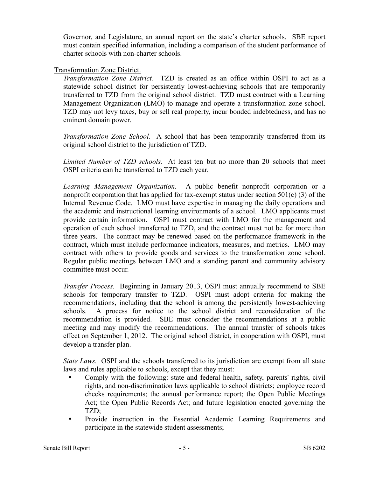Governor, and Legislature, an annual report on the state's charter schools. SBE report must contain specified information, including a comparison of the student performance of charter schools with non-charter schools.

#### Transformation Zone District.

*Transformation Zone District.* TZD is created as an office within OSPI to act as a statewide school district for persistently lowest-achieving schools that are temporarily transferred to TZD from the original school district. TZD must contract with a Learning Management Organization (LMO) to manage and operate a transformation zone school. TZD may not levy taxes, buy or sell real property, incur bonded indebtedness, and has no eminent domain power.

*Transformation Zone School.* A school that has been temporarily transferred from its original school district to the jurisdiction of TZD.

*Limited Number of TZD schools*. At least ten–but no more than 20–schools that meet OSPI criteria can be transferred to TZD each year.

*Learning Management Organization.* A public benefit nonprofit corporation or a nonprofit corporation that has applied for tax-exempt status under section 501(c) (3) of the Internal Revenue Code. LMO must have expertise in managing the daily operations and the academic and instructional learning environments of a school. LMO applicants must provide certain information. OSPI must contract with LMO for the management and operation of each school transferred to TZD, and the contract must not be for more than three years. The contract may be renewed based on the performance framework in the contract, which must include performance indicators, measures, and metrics. LMO may contract with others to provide goods and services to the transformation zone school. Regular public meetings between LMO and a standing parent and community advisory committee must occur.

*Transfer Process.* Beginning in January 2013, OSPI must annually recommend to SBE schools for temporary transfer to TZD. OSPI must adopt criteria for making the recommendations, including that the school is among the persistently lowest-achieving schools. A process for notice to the school district and reconsideration of the recommendation is provided. SBE must consider the recommendations at a public meeting and may modify the recommendations. The annual transfer of schools takes effect on September 1, 2012. The original school district, in cooperation with OSPI, must develop a transfer plan.

*State Laws.* OSPI and the schools transferred to its jurisdiction are exempt from all state laws and rules applicable to schools, except that they must:

- $\bullet$ Comply with the following: state and federal health, safety, parents' rights, civil rights, and non-discrimination laws applicable to school districts; employee record checks requirements; the annual performance report; the Open Public Meetings Act; the Open Public Records Act; and future legislation enacted governing the TZD;
- $\bullet$ Provide instruction in the Essential Academic Learning Requirements and participate in the statewide student assessments;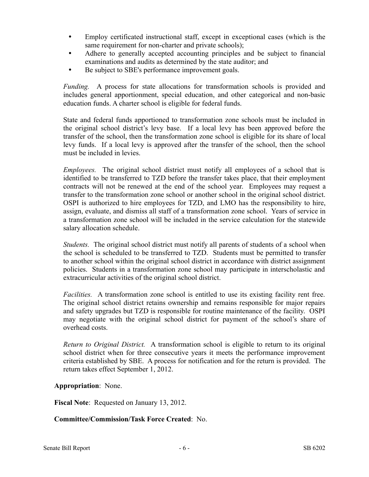- $\bullet$ Employ certificated instructional staff, except in exceptional cases (which is the same requirement for non-charter and private schools);
- $\bullet$ Adhere to generally accepted accounting principles and be subject to financial examinations and audits as determined by the state auditor; and
- $\bullet$ Be subject to SBE's performance improvement goals.

*Funding.* A process for state allocations for transformation schools is provided and includes general apportionment, special education, and other categorical and non-basic education funds. A charter school is eligible for federal funds.

State and federal funds apportioned to transformation zone schools must be included in the original school district's levy base. If a local levy has been approved before the transfer of the school, then the transformation zone school is eligible for its share of local levy funds. If a local levy is approved after the transfer of the school, then the school must be included in levies.

*Employees.* The original school district must notify all employees of a school that is identified to be transferred to TZD before the transfer takes place, that their employment contracts will not be renewed at the end of the school year. Employees may request a transfer to the transformation zone school or another school in the original school district. OSPI is authorized to hire employees for TZD, and LMO has the responsibility to hire, assign, evaluate, and dismiss all staff of a transformation zone school. Years of service in a transformation zone school will be included in the service calculation for the statewide salary allocation schedule.

*Students.* The original school district must notify all parents of students of a school when the school is scheduled to be transferred to TZD. Students must be permitted to transfer to another school within the original school district in accordance with district assignment policies. Students in a transformation zone school may participate in interscholastic and extracurricular activities of the original school district.

*Facilities.* A transformation zone school is entitled to use its existing facility rent free. The original school district retains ownership and remains responsible for major repairs and safety upgrades but TZD is responsible for routine maintenance of the facility. OSPI may negotiate with the original school district for payment of the school's share of overhead costs.

*Return to Original District.* A transformation school is eligible to return to its original school district when for three consecutive years it meets the performance improvement criteria established by SBE. A process for notification and for the return is provided. The return takes effect September 1, 2012.

**Appropriation**: None.

**Fiscal Note**: Requested on January 13, 2012.

## **Committee/Commission/Task Force Created**: No.